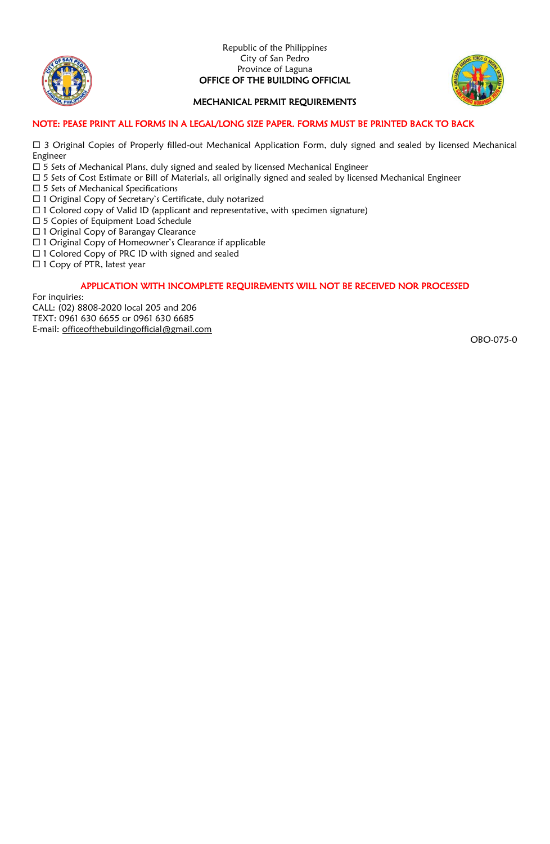

#### Republic of the Philippines City of San Pedro Province of Laguna OFFICE OF THE BUILDING OFFICIAL



## MECHANICAL PERMIT REQUIREMENTS

### NOTE: PEASE PRINT ALL FORMS IN A LEGAL/LONG SIZE PAPER. FORMS MUST BE PRINTED BACK TO BACK

 3 Original Copies of Properly filled-out Mechanical Application Form, duly signed and sealed by licensed Mechanical Engineer

- $\Box$  5 Sets of Mechanical Plans, duly signed and sealed by licensed Mechanical Engineer
- □ 5 Sets of Cost Estimate or Bill of Materials, all originally signed and sealed by licensed Mechanical Engineer
- $\square$  5 Sets of Mechanical Specifications
- □ 1 Original Copy of Secretary's Certificate, duly notarized
- $\Box$  1 Colored copy of Valid ID (applicant and representative, with specimen signature)
- □ 5 Copies of Equipment Load Schedule
- □ 1 Original Copy of Barangay Clearance
- □ 1 Original Copy of Homeowner's Clearance if applicable
- $\Box$  1 Colored Copy of PRC ID with signed and sealed
- □ 1 Copy of PTR, latest year

### APPLICATION WITH INCOMPLETE REQUIREMENTS WILL NOT BE RECEIVED NOR PROCESSED

For inquiries:

CALL: (02) 8808-2020 local 205 and 206 TEXT: 0961 630 6655 or 0961 630 6685 E-mail: [officeofthebuildingofficial@gmail.com](mailto:officeofthebuildingofficial@gmail.com)

OBO-075-0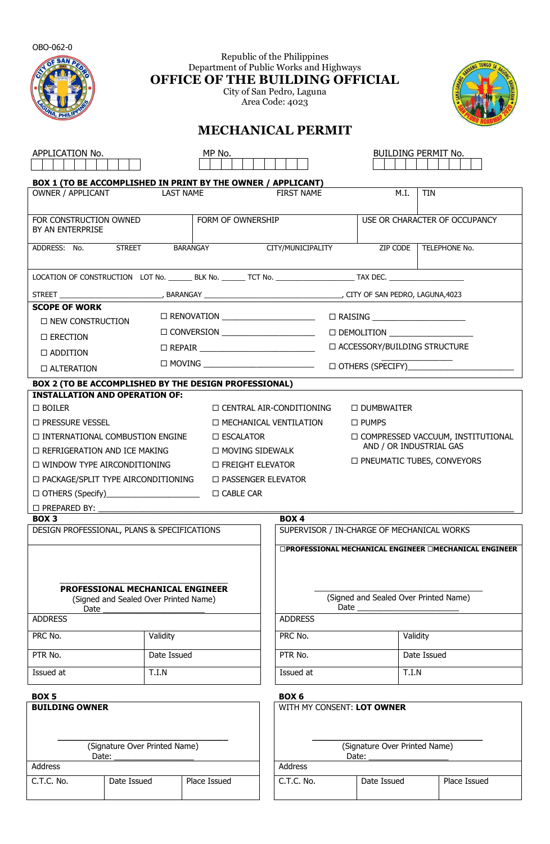| OBO-062-0<br>Republic of the Philippines<br>Department of Public Works and Highways<br>OFFICE OF THE BUILDING OFFICIAL<br>City of San Pedro, Laguna<br>Area Code: 4023                                                                                                                                                                                                                                                                                                                                                                                                              |                                                                           |                                                              |                                                                                                                   |                                                     |                               |  |  |  |  |
|-------------------------------------------------------------------------------------------------------------------------------------------------------------------------------------------------------------------------------------------------------------------------------------------------------------------------------------------------------------------------------------------------------------------------------------------------------------------------------------------------------------------------------------------------------------------------------------|---------------------------------------------------------------------------|--------------------------------------------------------------|-------------------------------------------------------------------------------------------------------------------|-----------------------------------------------------|-------------------------------|--|--|--|--|
|                                                                                                                                                                                                                                                                                                                                                                                                                                                                                                                                                                                     | <b>MECHANICAL PERMIT</b>                                                  |                                                              |                                                                                                                   |                                                     |                               |  |  |  |  |
| APPLICATION No.<br>MP No.<br>BUILDING PERMIT No.                                                                                                                                                                                                                                                                                                                                                                                                                                                                                                                                    |                                                                           |                                                              |                                                                                                                   |                                                     |                               |  |  |  |  |
|                                                                                                                                                                                                                                                                                                                                                                                                                                                                                                                                                                                     | OWNER / APPLICANT LAST NAME                                               | BOX 1 (TO BE ACCOMPLISHED IN PRINT BY THE OWNER / APPLICANT) | <b>FIRST NAME</b>                                                                                                 | M.I.                                                | TIN                           |  |  |  |  |
|                                                                                                                                                                                                                                                                                                                                                                                                                                                                                                                                                                                     |                                                                           |                                                              |                                                                                                                   |                                                     |                               |  |  |  |  |
| FOR CONSTRUCTION OWNED<br>BY AN ENTERPRISE                                                                                                                                                                                                                                                                                                                                                                                                                                                                                                                                          |                                                                           | FORM OF OWNERSHIP                                            |                                                                                                                   |                                                     | USE OR CHARACTER OF OCCUPANCY |  |  |  |  |
| ADDRESS: No. STREET                                                                                                                                                                                                                                                                                                                                                                                                                                                                                                                                                                 |                                                                           | <b>BARANGAY</b>                                              | CITY/MUNICIPALITY ZIP CODE TELEPHONE No.                                                                          |                                                     |                               |  |  |  |  |
|                                                                                                                                                                                                                                                                                                                                                                                                                                                                                                                                                                                     |                                                                           |                                                              |                                                                                                                   |                                                     |                               |  |  |  |  |
|                                                                                                                                                                                                                                                                                                                                                                                                                                                                                                                                                                                     |                                                                           |                                                              |                                                                                                                   |                                                     |                               |  |  |  |  |
| <b>SCOPE OF WORK</b>                                                                                                                                                                                                                                                                                                                                                                                                                                                                                                                                                                |                                                                           |                                                              |                                                                                                                   |                                                     |                               |  |  |  |  |
|                                                                                                                                                                                                                                                                                                                                                                                                                                                                                                                                                                                     | □ NEW CONSTRUCTION                                                        |                                                              |                                                                                                                   |                                                     |                               |  |  |  |  |
| $\Box$ ERECTION                                                                                                                                                                                                                                                                                                                                                                                                                                                                                                                                                                     |                                                                           |                                                              |                                                                                                                   | $\square$ DEMOLITION $\_\_\_\_\_\_\_\_\_\_\_\_\_\_$ |                               |  |  |  |  |
| $\Box$ ADDITION                                                                                                                                                                                                                                                                                                                                                                                                                                                                                                                                                                     | □ ACCESSORY/BUILDING STRUCTURE                                            |                                                              |                                                                                                                   |                                                     |                               |  |  |  |  |
| $\Box$ ALTERATION                                                                                                                                                                                                                                                                                                                                                                                                                                                                                                                                                                   |                                                                           |                                                              |                                                                                                                   |                                                     |                               |  |  |  |  |
|                                                                                                                                                                                                                                                                                                                                                                                                                                                                                                                                                                                     |                                                                           | BOX 2 (TO BE ACCOMPLISHED BY THE DESIGN PROFESSIONAL)        |                                                                                                                   |                                                     |                               |  |  |  |  |
| <b>INSTALLATION AND OPERATION OF:</b><br>$\Box$ BOILER<br>$\Box$ CENTRAL AIR-CONDITIONING<br>$\Box$ DUMBWAITER<br>$\Box$ PRESSURE VESSEL<br>$\Box$ MECHANICAL VENTILATION<br>$\Box$ PUMPS<br>$\Box$ INTERNATIONAL COMBUSTION ENGINE<br><b>COMPRESSED VACCUUM, INSTITUTIONAL</b><br>□ ESCALATOR<br>AND / OR INDUSTRIAL GAS<br><b>D MOVING SIDEWALK</b><br>$\Box$ Refrigeration and ICE making<br>□ PNEUMATIC TUBES, CONVEYORS<br>$\Box$ WINDOW TYPE AIRCONDITIONING<br>□ FREIGHT ELEVATOR<br>$\Box$ PACKAGE/SPLIT TYPE AIRCONDITIONING<br><b>D PASSENGER ELEVATOR</b><br>□ CABLE CAR |                                                                           |                                                              |                                                                                                                   |                                                     |                               |  |  |  |  |
| BOX <sub>3</sub>                                                                                                                                                                                                                                                                                                                                                                                                                                                                                                                                                                    |                                                                           |                                                              | BOX <sub>4</sub>                                                                                                  |                                                     |                               |  |  |  |  |
|                                                                                                                                                                                                                                                                                                                                                                                                                                                                                                                                                                                     | DESIGN PROFESSIONAL, PLANS & SPECIFICATIONS                               |                                                              |                                                                                                                   | SUPERVISOR / IN-CHARGE OF MECHANICAL WORKS          |                               |  |  |  |  |
| Date<br><b>ADDRESS</b>                                                                                                                                                                                                                                                                                                                                                                                                                                                                                                                                                              | PROFESSIONAL MECHANICAL ENGINEER<br>(Signed and Sealed Over Printed Name) |                                                              | □PROFESSIONAL MECHANICAL ENGINEER □MECHANICAL ENGINEER<br>(Signed and Sealed Over Printed Name)<br><b>ADDRESS</b> |                                                     |                               |  |  |  |  |
| PRC No.                                                                                                                                                                                                                                                                                                                                                                                                                                                                                                                                                                             | Validity                                                                  |                                                              | PRC No.                                                                                                           |                                                     | Validity                      |  |  |  |  |
| PTR No.                                                                                                                                                                                                                                                                                                                                                                                                                                                                                                                                                                             | Date Issued                                                               |                                                              | PTR No.                                                                                                           |                                                     | Date Issued                   |  |  |  |  |
| Issued at<br>T.I.N                                                                                                                                                                                                                                                                                                                                                                                                                                                                                                                                                                  |                                                                           | Issued at<br>T.I.N                                           |                                                                                                                   |                                                     |                               |  |  |  |  |
| BOX 5<br><b>BUILDING OWNER</b><br>(Signature Over Printed Name)                                                                                                                                                                                                                                                                                                                                                                                                                                                                                                                     |                                                                           |                                                              | BOX 6<br>WITH MY CONSENT: LOT OWNER<br>(Signature Over Printed Name)<br>Date:                                     |                                                     |                               |  |  |  |  |
| <b>Address</b>                                                                                                                                                                                                                                                                                                                                                                                                                                                                                                                                                                      | Date:                                                                     |                                                              | Address                                                                                                           |                                                     |                               |  |  |  |  |
| C.T.C. No.                                                                                                                                                                                                                                                                                                                                                                                                                                                                                                                                                                          | Date Issued                                                               | Place Issued                                                 | C.T.C. No.                                                                                                        | Date Issued                                         | Place Issued                  |  |  |  |  |